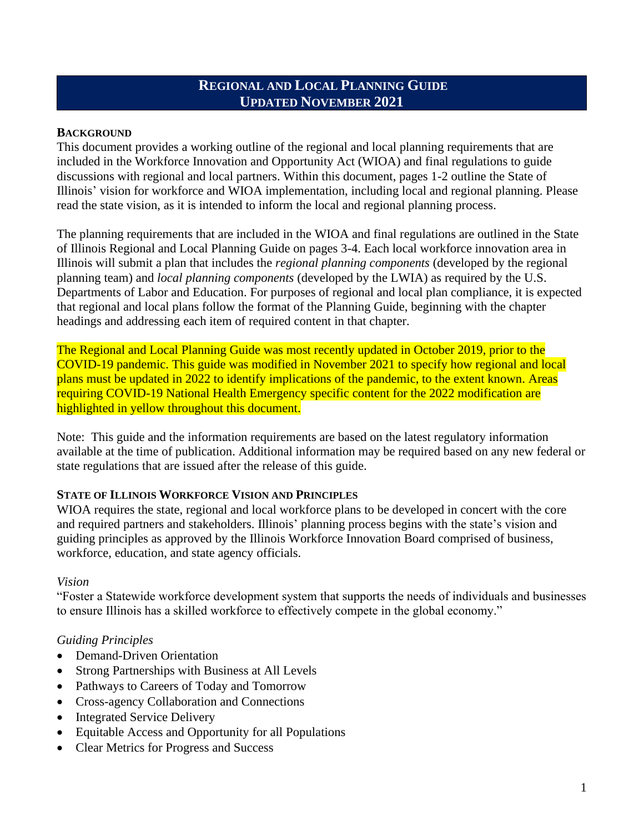# **REGIONAL AND LOCAL PLANNING GUIDE UPDATED NOVEMBER 2021**

### **BACKGROUND**

This document provides a working outline of the regional and local planning requirements that are included in the Workforce Innovation and Opportunity Act (WIOA) and final regulations to guide discussions with regional and local partners. Within this document, pages 1-2 outline the State of Illinois' vision for workforce and WIOA implementation, including local and regional planning. Please read the state vision, as it is intended to inform the local and regional planning process.

The planning requirements that are included in the WIOA and final regulations are outlined in the State of Illinois Regional and Local Planning Guide on pages 3-4. Each local workforce innovation area in Illinois will submit a plan that includes the *regional planning components* (developed by the regional planning team) and *local planning components* (developed by the LWIA) as required by the U.S. Departments of Labor and Education. For purposes of regional and local plan compliance, it is expected that regional and local plans follow the format of the Planning Guide, beginning with the chapter headings and addressing each item of required content in that chapter.

The Regional and Local Planning Guide was most recently updated in October 2019, prior to the COVID-19 pandemic. This guide was modified in November 2021 to specify how regional and local plans must be updated in 2022 to identify implications of the pandemic, to the extent known. Areas requiring COVID-19 National Health Emergency specific content for the 2022 modification are highlighted in yellow throughout this document.

Note: This guide and the information requirements are based on the latest regulatory information available at the time of publication. Additional information may be required based on any new federal or state regulations that are issued after the release of this guide.

## **STATE OF ILLINOIS WORKFORCE VISION AND PRINCIPLES**

WIOA requires the state, regional and local workforce plans to be developed in concert with the core and required partners and stakeholders. Illinois' planning process begins with the state's vision and guiding principles as approved by the Illinois Workforce Innovation Board comprised of business, workforce, education, and state agency officials.

#### *Vision*

"Foster a Statewide workforce development system that supports the needs of individuals and businesses to ensure Illinois has a skilled workforce to effectively compete in the global economy."

#### *Guiding Principles*

- Demand-Driven Orientation
- Strong Partnerships with Business at All Levels
- Pathways to Careers of Today and Tomorrow
- Cross-agency Collaboration and Connections
- Integrated Service Delivery
- Equitable Access and Opportunity for all Populations
- Clear Metrics for Progress and Success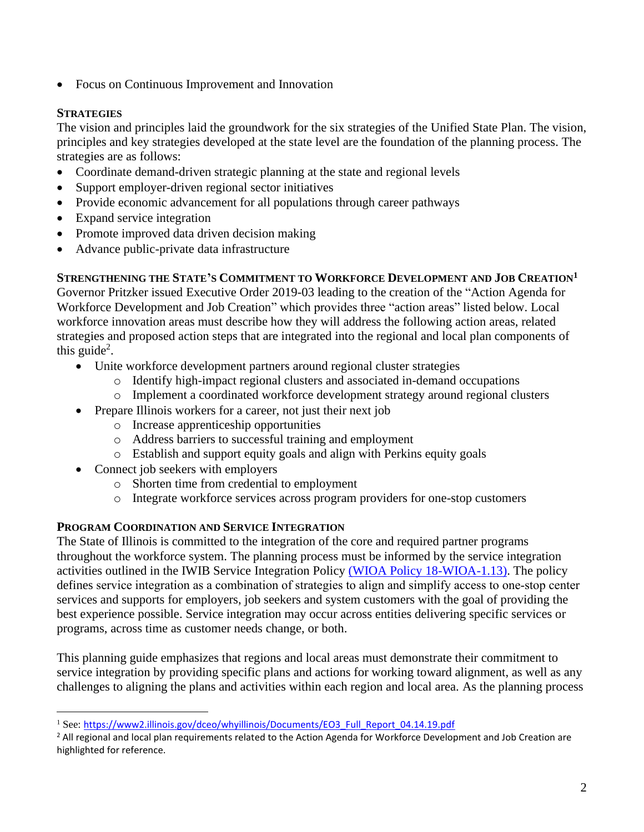• Focus on Continuous Improvement and Innovation

## **STRATEGIES**

The vision and principles laid the groundwork for the six strategies of the Unified State Plan. The vision, principles and key strategies developed at the state level are the foundation of the planning process. The strategies are as follows:

- Coordinate demand-driven strategic planning at the state and regional levels
- Support employer-driven regional sector initiatives
- Provide economic advancement for all populations through career pathways
- Expand service integration
- Promote improved data driven decision making
- Advance public-private data infrastructure

## **STRENGTHENING THE STATE'S COMMITMENT TO WORKFORCE DEVELOPMENT AND JOB CREATION<sup>1</sup>**

Governor Pritzker issued Executive Order 2019-03 leading to the creation of the "Action Agenda for Workforce Development and Job Creation" which provides three "action areas" listed below. Local workforce innovation areas must describe how they will address the following action areas, related strategies and proposed action steps that are integrated into the regional and local plan components of this guide<sup>2</sup>.

- Unite workforce development partners around regional cluster strategies
	- o Identify high-impact regional clusters and associated in-demand occupations
	- o Implement a coordinated workforce development strategy around regional clusters
- Prepare Illinois workers for a career, not just their next job
	- o Increase apprenticeship opportunities
	- o Address barriers to successful training and employment
	- o Establish and support equity goals and align with Perkins equity goals
- Connect job seekers with employers
	- o Shorten time from credential to employment
	- o Integrate workforce services across program providers for one-stop customers

## **PROGRAM COORDINATION AND SERVICE INTEGRATION**

The State of Illinois is committed to the integration of the core and required partner programs throughout the workforce system. The planning process must be informed by the service integration activities outlined in the IWIB Service Integration Policy (WIOA Policy [18-WIOA-1.13\).](https://apps.illinoisworknet.com/WIOAPolicy/Policy/Index/470) The policy defines service integration as a combination of strategies to align and simplify access to one‐stop center services and supports for employers, job seekers and system customers with the goal of providing the best experience possible. Service integration may occur across entities delivering specific services or programs, across time as customer needs change, or both.

This planning guide emphasizes that regions and local areas must demonstrate their commitment to service integration by providing specific plans and actions for working toward alignment, as well as any challenges to aligning the plans and activities within each region and local area. As the planning process

<sup>&</sup>lt;sup>1</sup> See: [https://www2.illinois.gov/dceo/whyillinois/Documents/EO3\\_Full\\_Report\\_04.14.19.pdf](https://www2.illinois.gov/dceo/whyillinois/Documents/EO3_Full_Report_04.14.19.pdf)

 $<sup>2</sup>$  All regional and local plan requirements related to the Action Agenda for Workforce Development and Job Creation are</sup> highlighted for reference.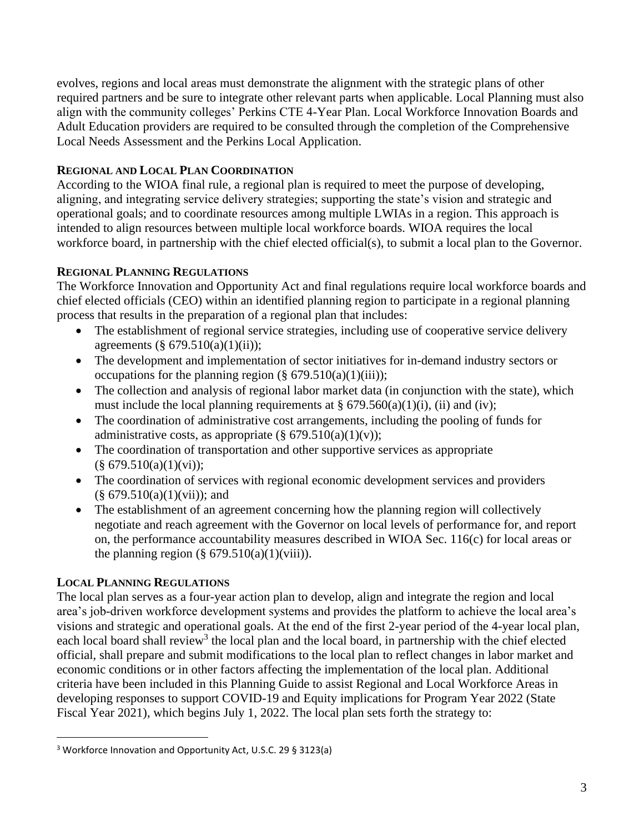evolves, regions and local areas must demonstrate the alignment with the strategic plans of other required partners and be sure to integrate other relevant parts when applicable. Local Planning must also align with the community colleges' Perkins CTE 4-Year Plan. Local Workforce Innovation Boards and Adult Education providers are required to be consulted through the completion of the Comprehensive Local Needs Assessment and the Perkins Local Application.

## **REGIONAL AND LOCAL PLAN COORDINATION**

According to the WIOA final rule, a regional plan is required to meet the purpose of developing, aligning, and integrating service delivery strategies; supporting the state's vision and strategic and operational goals; and to coordinate resources among multiple LWIAs in a region. This approach is intended to align resources between multiple local workforce boards. WIOA requires the local workforce board, in partnership with the chief elected official(s), to submit a local plan to the Governor.

## **REGIONAL PLANNING REGULATIONS**

The Workforce Innovation and Opportunity Act and final regulations require local workforce boards and chief elected officials (CEO) within an identified planning region to participate in a regional planning process that results in the preparation of a regional plan that includes:

- The establishment of regional service strategies, including use of cooperative service delivery agreements (§  $679.510(a)(1)(ii)$ );
- The development and implementation of sector initiatives for in-demand industry sectors or occupations for the planning region  $(\S 679.510(a)(1)(iii))$ ;
- The collection and analysis of regional labor market data (in conjunction with the state), which must include the local planning requirements at  $\S 679.560(a)(1)(i)$ , (ii) and (iv);
- The coordination of administrative cost arrangements, including the pooling of funds for administrative costs, as appropriate  $(\S 679.510(a)(1)(v));$
- The coordination of transportation and other supportive services as appropriate  $(\S 679.510(a)(1)(vi))$ ;
- The coordination of services with regional economic development services and providers  $(\S 679.510(a)(1)(vii))$ ; and
- The establishment of an agreement concerning how the planning region will collectively negotiate and reach agreement with the Governor on local levels of performance for, and report on, the performance accountability measures described in WIOA Sec. 116(c) for local areas or the planning region  $(\S 679.510(a)(1)(viii))$ .

## **LOCAL PLANNING REGULATIONS**

The local plan serves as a four-year action plan to develop, align and integrate the region and local area's job-driven workforce development systems and provides the platform to achieve the local area's visions and strategic and operational goals. At the end of the first 2-year period of the 4-year local plan, each local board shall review<sup>3</sup> the local plan and the local board, in partnership with the chief elected official, shall prepare and submit modifications to the local plan to reflect changes in labor market and economic conditions or in other factors affecting the implementation of the local plan. Additional criteria have been included in this Planning Guide to assist Regional and Local Workforce Areas in developing responses to support COVID-19 and Equity implications for Program Year 2022 (State Fiscal Year 2021), which begins July 1, 2022. The local plan sets forth the strategy to:

<sup>3</sup> Workforce Innovation and Opportunity Act, U.S.C. 29 § 3123(a)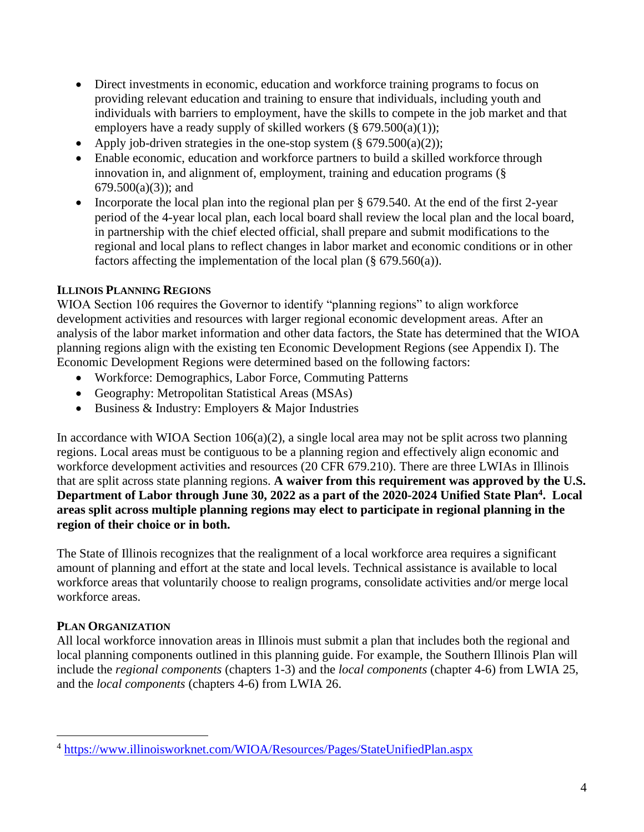- Direct investments in economic, education and workforce training programs to focus on providing relevant education and training to ensure that individuals, including youth and individuals with barriers to employment, have the skills to compete in the job market and that employers have a ready supply of skilled workers  $(\S 679.500(a)(1))$ ;
- Apply job-driven strategies in the one-stop system  $(\S 679.500(a)(2))$ ;
- Enable economic, education and workforce partners to build a skilled workforce through innovation in, and alignment of, employment, training and education programs (§  $679.500(a)(3)$ ; and
- Incorporate the local plan into the regional plan per § 679.540. At the end of the first 2-year period of the 4-year local plan, each local board shall review the local plan and the local board, in partnership with the chief elected official, shall prepare and submit modifications to the regional and local plans to reflect changes in labor market and economic conditions or in other factors affecting the implementation of the local plan (§ 679.560(a)).

## **ILLINOIS PLANNING REGIONS**

WIOA Section 106 requires the Governor to identify "planning regions" to align workforce development activities and resources with larger regional economic development areas. After an analysis of the labor market information and other data factors, the State has determined that the WIOA planning regions align with the existing ten Economic Development Regions (see Appendix I). The Economic Development Regions were determined based on the following factors:

- Workforce: Demographics, Labor Force, Commuting Patterns
- Geography: Metropolitan Statistical Areas (MSAs)
- Business & Industry: Employers & Major Industries

In accordance with WIOA Section  $106(a)(2)$ , a single local area may not be split across two planning regions. Local areas must be contiguous to be a planning region and effectively align economic and workforce development activities and resources (20 CFR 679.210). There are three LWIAs in Illinois that are split across state planning regions. **A waiver from this requirement was approved by the U.S. Department of Labor through June 30, 2022 as a part of the 2020-2024 Unified State Plan<sup>4</sup> . Local areas split across multiple planning regions may elect to participate in regional planning in the region of their choice or in both.** 

The State of Illinois recognizes that the realignment of a local workforce area requires a significant amount of planning and effort at the state and local levels. Technical assistance is available to local workforce areas that voluntarily choose to realign programs, consolidate activities and/or merge local workforce areas.

## **PLAN ORGANIZATION**

All local workforce innovation areas in Illinois must submit a plan that includes both the regional and local planning components outlined in this planning guide. For example, the Southern Illinois Plan will include the *regional components* (chapters 1-3) and the *local components* (chapter 4-6) from LWIA 25, and the *local components* (chapters 4-6) from LWIA 26.

<sup>&</sup>lt;sup>4</sup> <https://www.illinoisworknet.com/WIOA/Resources/Pages/StateUnifiedPlan.aspx>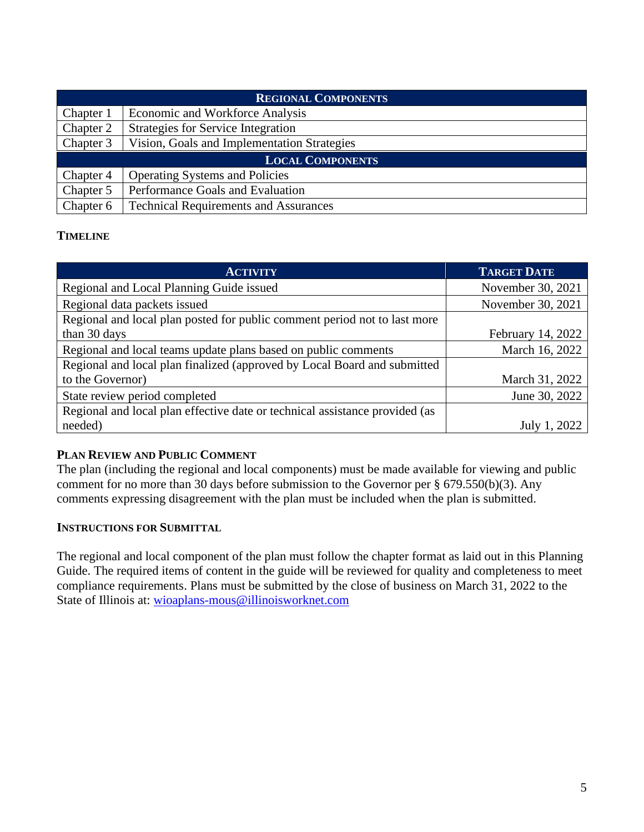| <b>REGIONAL COMPONENTS</b> |                                              |  |
|----------------------------|----------------------------------------------|--|
| Chapter 1                  | Economic and Workforce Analysis              |  |
| Chapter 2                  | <b>Strategies for Service Integration</b>    |  |
| Chapter 3                  | Vision, Goals and Implementation Strategies  |  |
| <b>LOCAL COMPONENTS</b>    |                                              |  |
| Chapter 4                  | <b>Operating Systems and Policies</b>        |  |
| Chapter 5                  | Performance Goals and Evaluation             |  |
| Chapter 6                  | <b>Technical Requirements and Assurances</b> |  |

## **TIMELINE**

| <b>ACTIVITY</b>                                                             | <b>TARGET DATE</b> |
|-----------------------------------------------------------------------------|--------------------|
| Regional and Local Planning Guide issued                                    | November 30, 2021  |
| Regional data packets issued                                                | November 30, 2021  |
| Regional and local plan posted for public comment period not to last more   |                    |
| than 30 days                                                                | February 14, 2022  |
| Regional and local teams update plans based on public comments              | March 16, 2022     |
| Regional and local plan finalized (approved by Local Board and submitted    |                    |
| to the Governor)                                                            | March 31, 2022     |
| State review period completed                                               | June 30, 2022      |
| Regional and local plan effective date or technical assistance provided (as |                    |
| needed)                                                                     | 2022<br>July 1.    |

## **PLAN REVIEW AND PUBLIC COMMENT**

The plan (including the regional and local components) must be made available for viewing and public comment for no more than 30 days before submission to the Governor per § 679.550(b)(3). Any comments expressing disagreement with the plan must be included when the plan is submitted.

## **INSTRUCTIONS FOR SUBMITTAL**

The regional and local component of the plan must follow the chapter format as laid out in this Planning Guide. The required items of content in the guide will be reviewed for quality and completeness to meet compliance requirements. Plans must be submitted by the close of business on March 31, 2022 to the State of Illinois at: [wioaplans-mous@illinoisworknet.com](mailto:wioaplans-mous@illinoisworknet.com)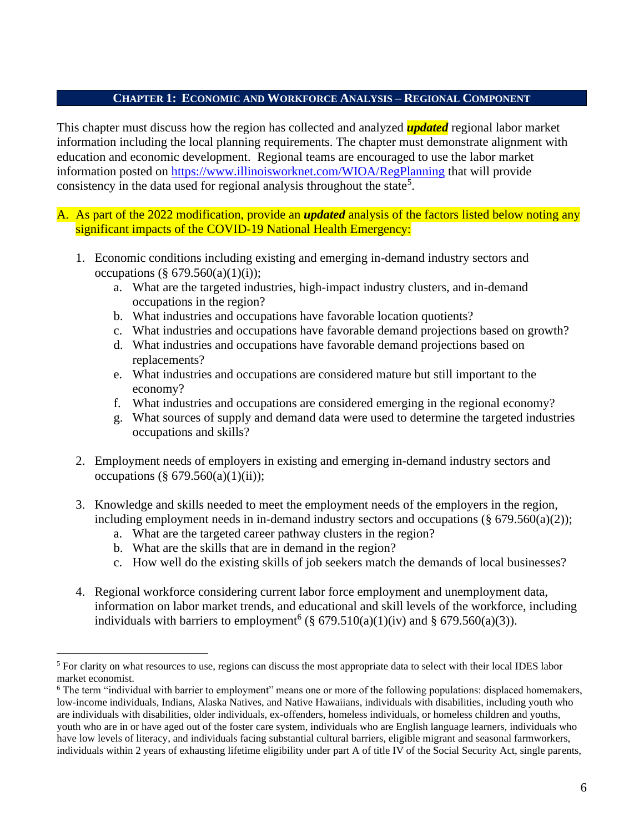### **CHAPTER 1: ECONOMIC AND WORKFORCE ANALYSIS – REGIONAL COMPONENT**

This chapter must discuss how the region has collected and analyzed *updated* regional labor market information including the local planning requirements. The chapter must demonstrate alignment with education and economic development. Regional teams are encouraged to use the labor market information posted on<https://www.illinoisworknet.com/WIOA/RegPlanning> that will provide consistency in the data used for regional analysis throughout the state<sup>5</sup>.

#### A. As part of the 2022 modification, provide an *updated* analysis of the factors listed below noting any significant impacts of the COVID-19 National Health Emergency:

- 1. Economic conditions including existing and emerging in-demand industry sectors and occupations (§ 679.560(a)(1)(i));
	- a. What are the targeted industries, high-impact industry clusters, and in-demand occupations in the region?
	- b. What industries and occupations have favorable location quotients?
	- c. What industries and occupations have favorable demand projections based on growth?
	- d. What industries and occupations have favorable demand projections based on replacements?
	- e. What industries and occupations are considered mature but still important to the economy?
	- f. What industries and occupations are considered emerging in the regional economy?
	- g. What sources of supply and demand data were used to determine the targeted industries occupations and skills?
- 2. Employment needs of employers in existing and emerging in-demand industry sectors and occupations (§  $679.560(a)(1)(ii)$ );
- 3. Knowledge and skills needed to meet the employment needs of the employers in the region, including employment needs in in-demand industry sectors and occupations  $(\S 679.560(a)(2))$ ;
	- a. What are the targeted career pathway clusters in the region?
	- b. What are the skills that are in demand in the region?
	- c. How well do the existing skills of job seekers match the demands of local businesses?
- 4. Regional workforce considering current labor force employment and unemployment data, information on labor market trends, and educational and skill levels of the workforce, including individuals with barriers to employment<sup>6</sup> (§  $679.510(a)(1)(iv)$  and §  $679.560(a)(3)$ ).

<sup>&</sup>lt;sup>5</sup> For clarity on what resources to use, regions can discuss the most appropriate data to select with their local IDES labor market economist.

<sup>6</sup> The term "individual with barrier to employment" means one or more of the following populations: displaced homemakers, low-income individuals, Indians, Alaska Natives, and Native Hawaiians, individuals with disabilities, including youth who are individuals with disabilities, older individuals, ex-offenders, homeless individuals, or homeless children and youths, youth who are in or have aged out of the foster care system, individuals who are English language learners, individuals who have low levels of literacy, and individuals facing substantial cultural barriers, eligible migrant and seasonal farmworkers, individuals within 2 years of exhausting lifetime eligibility under part A of title IV of the Social Security Act, single parents,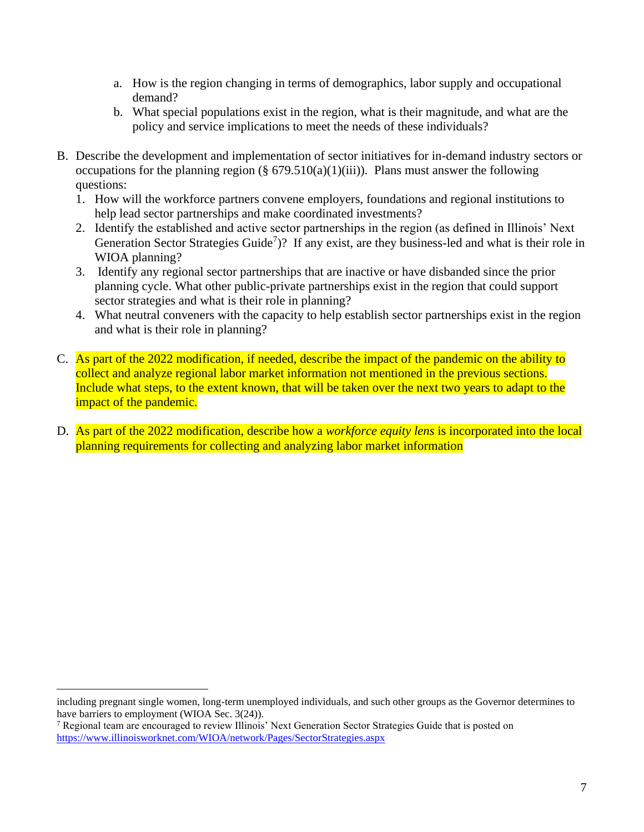- a. How is the region changing in terms of demographics, labor supply and occupational demand?
- b. What special populations exist in the region, what is their magnitude, and what are the policy and service implications to meet the needs of these individuals?
- B. Describe the development and implementation of sector initiatives for in-demand industry sectors or occupations for the planning region (§  $679.510(a)(1)(iii)$ ). Plans must answer the following questions:
	- 1. How will the workforce partners convene employers, foundations and regional institutions to help lead sector partnerships and make coordinated investments?
	- 2. Identify the established and active sector partnerships in the region (as defined in Illinois' Next Generation Sector Strategies Guide<sup>7</sup>)? If any exist, are they business-led and what is their role in WIOA planning?
	- 3. Identify any regional sector partnerships that are inactive or have disbanded since the prior planning cycle. What other public-private partnerships exist in the region that could support sector strategies and what is their role in planning?
	- 4. What neutral conveners with the capacity to help establish sector partnerships exist in the region and what is their role in planning?
- C. As part of the 2022 modification, if needed, describe the impact of the pandemic on the ability to collect and analyze regional labor market information not mentioned in the previous sections. Include what steps, to the extent known, that will be taken over the next two years to adapt to the impact of the pandemic.
- D. As part of the 2022 modification, describe how a *workforce equity lens* is incorporated into the local planning requirements for collecting and analyzing labor market information

including pregnant single women, long-term unemployed individuals, and such other groups as the Governor determines to have barriers to employment (WIOA Sec. 3(24)).

<sup>7</sup> Regional team are encouraged to review Illinois' Next Generation Sector Strategies Guide that is posted on <https://www.illinoisworknet.com/WIOA/network/Pages/SectorStrategies.aspx>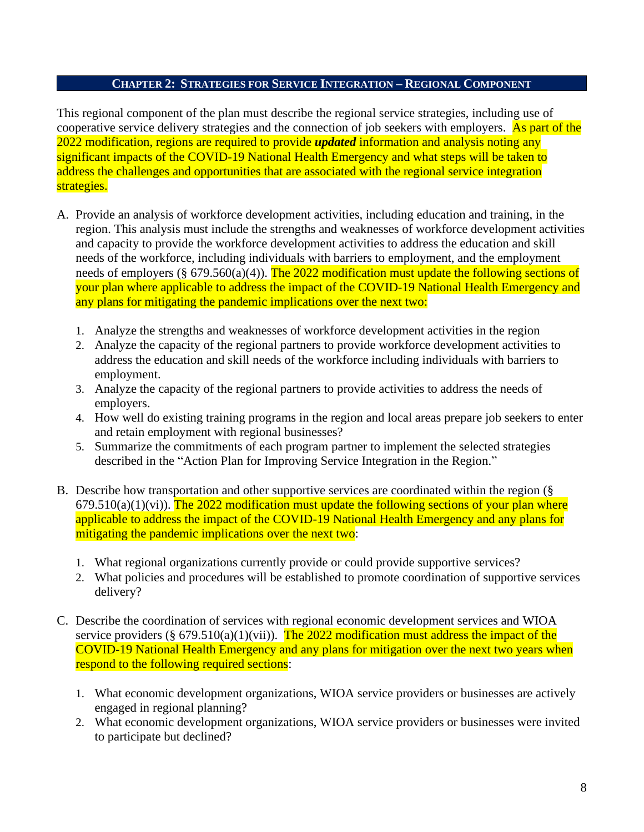#### **CHAPTER 2: STRATEGIES FOR SERVICE INTEGRATION – REGIONAL COMPONENT**

This regional component of the plan must describe the regional service strategies, including use of cooperative service delivery strategies and the connection of job seekers with employers. As part of the 2022 modification, regions are required to provide *updated* information and analysis noting any significant impacts of the COVID-19 National Health Emergency and what steps will be taken to address the challenges and opportunities that are associated with the regional service integration strategies.

- A. Provide an analysis of workforce development activities, including education and training, in the region. This analysis must include the strengths and weaknesses of workforce development activities and capacity to provide the workforce development activities to address the education and skill needs of the workforce, including individuals with barriers to employment, and the employment needs of employers ( $\S 679.560(a)(4)$ ). The 2022 modification must update the following sections of your plan where applicable to address the impact of the COVID-19 National Health Emergency and any plans for mitigating the pandemic implications over the next two:
	- 1. Analyze the strengths and weaknesses of workforce development activities in the region
	- 2. Analyze the capacity of the regional partners to provide workforce development activities to address the education and skill needs of the workforce including individuals with barriers to employment.
	- 3. Analyze the capacity of the regional partners to provide activities to address the needs of employers.
	- 4. How well do existing training programs in the region and local areas prepare job seekers to enter and retain employment with regional businesses?
	- 5. Summarize the commitments of each program partner to implement the selected strategies described in the "Action Plan for Improving Service Integration in the Region."
- B. Describe how transportation and other supportive services are coordinated within the region (§  $679.510(a)(1)(vi)$ . The 2022 modification must update the following sections of your plan where applicable to address the impact of the COVID-19 National Health Emergency and any plans for mitigating the pandemic implications over the next two:
	- 1. What regional organizations currently provide or could provide supportive services?
	- 2. What policies and procedures will be established to promote coordination of supportive services delivery?
- C. Describe the coordination of services with regional economic development services and WIOA service providers (§ 679.510(a)(1)(vii)). The 2022 modification must address the impact of the COVID-19 National Health Emergency and any plans for mitigation over the next two years when respond to the following required sections:
	- 1. What economic development organizations, WIOA service providers or businesses are actively engaged in regional planning?
	- 2. What economic development organizations, WIOA service providers or businesses were invited to participate but declined?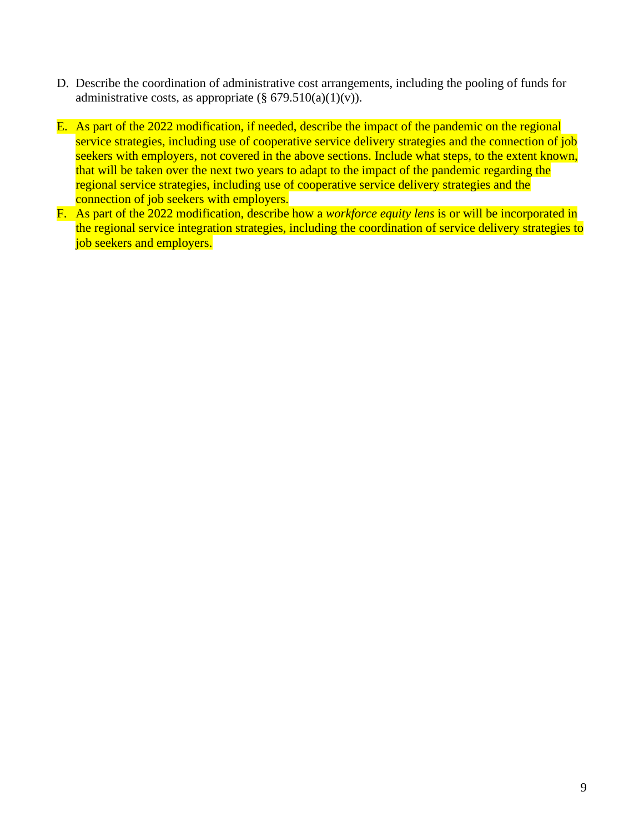- D. Describe the coordination of administrative cost arrangements, including the pooling of funds for administrative costs, as appropriate  $(\S 679.510(a)(1)(v))$ .
- E. As part of the 2022 modification, if needed, describe the impact of the pandemic on the regional service strategies, including use of cooperative service delivery strategies and the connection of job seekers with employers, not covered in the above sections. Include what steps, to the extent known, that will be taken over the next two years to adapt to the impact of the pandemic regarding the regional service strategies, including use of cooperative service delivery strategies and the connection of job seekers with employers.
- F. As part of the 2022 modification, describe how a *workforce equity lens* is or will be incorporated in the regional service integration strategies, including the coordination of service delivery strategies to job seekers and employers.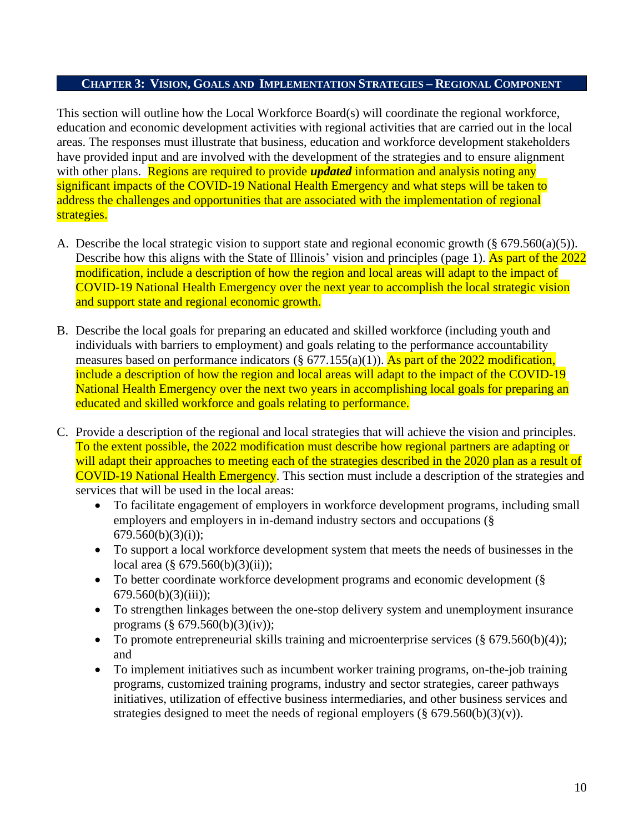#### **CHAPTER 3: VISION, GOALS AND IMPLEMENTATION STRATEGIES – REGIONAL COMPONENT**

This section will outline how the Local Workforce Board(s) will coordinate the regional workforce, education and economic development activities with regional activities that are carried out in the local areas. The responses must illustrate that business, education and workforce development stakeholders have provided input and are involved with the development of the strategies and to ensure alignment with other plans. Regions are required to provide *updated* information and analysis noting any significant impacts of the COVID-19 National Health Emergency and what steps will be taken to address the challenges and opportunities that are associated with the implementation of regional strategies.

- A. Describe the local strategic vision to support state and regional economic growth (§ 679.560(a)(5)). Describe how this aligns with the State of Illinois' vision and principles (page 1). As part of the 2022 modification, include a description of how the region and local areas will adapt to the impact of COVID-19 National Health Emergency over the next year to accomplish the local strategic vision and support state and regional economic growth.
- B. Describe the local goals for preparing an educated and skilled workforce (including youth and individuals with barriers to employment) and goals relating to the performance accountability measures based on performance indicators (§ 677.155(a)(1)). As part of the 2022 modification, include a description of how the region and local areas will adapt to the impact of the COVID-19 National Health Emergency over the next two years in accomplishing local goals for preparing an educated and skilled workforce and goals relating to performance.
- C. Provide a description of the regional and local strategies that will achieve the vision and principles. To the extent possible, the 2022 modification must describe how regional partners are adapting or will adapt their approaches to meeting each of the strategies described in the 2020 plan as a result of COVID-19 National Health Emergency. This section must include a description of the strategies and services that will be used in the local areas:
	- To facilitate engagement of employers in workforce development programs, including small employers and employers in in-demand industry sectors and occupations (§  $679.560(b)(3)(i);$
	- To support a local workforce development system that meets the needs of businesses in the local area (§ 679.560(b)(3)(ii));
	- To better coordinate workforce development programs and economic development (§  $679.560(b)(3)(iii)$ ;
	- To strengthen linkages between the one-stop delivery system and unemployment insurance programs (§ 679.560(b)(3)(iv));
	- To promote entrepreneurial skills training and microenterprise services  $(\S 679.560(b)(4))$ ; and
	- To implement initiatives such as incumbent worker training programs, on-the-job training programs, customized training programs, industry and sector strategies, career pathways initiatives, utilization of effective business intermediaries, and other business services and strategies designed to meet the needs of regional employers ( $\S$  679.560(b)(3)(v)).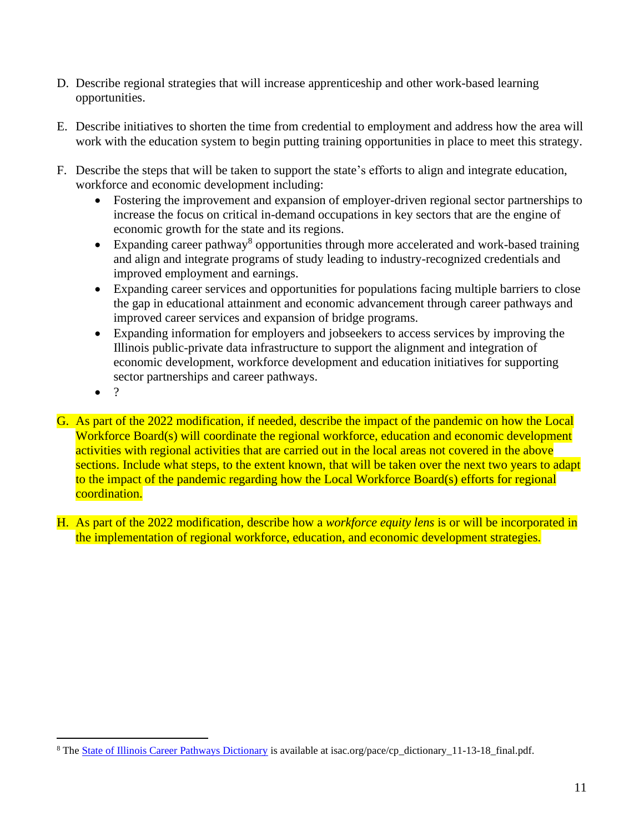- D. Describe regional strategies that will increase apprenticeship and other work-based learning opportunities.
- E. Describe initiatives to shorten the time from credential to employment and address how the area will work with the education system to begin putting training opportunities in place to meet this strategy.
- F. Describe the steps that will be taken to support the state's efforts to align and integrate education, workforce and economic development including:
	- Fostering the improvement and expansion of employer-driven regional sector partnerships to increase the focus on critical in-demand occupations in key sectors that are the engine of economic growth for the state and its regions.
	- Expanding career pathway<sup>8</sup> opportunities through more accelerated and work-based training and align and integrate programs of study leading to industry-recognized credentials and improved employment and earnings.
	- Expanding career services and opportunities for populations facing multiple barriers to close the gap in educational attainment and economic advancement through career pathways and improved career services and expansion of bridge programs.
	- Expanding information for employers and jobseekers to access services by improving the Illinois public-private data infrastructure to support the alignment and integration of economic development, workforce development and education initiatives for supporting sector partnerships and career pathways.
	- $\bullet$  ?
- G. As part of the 2022 modification, if needed, describe the impact of the pandemic on how the Local Workforce Board(s) will coordinate the regional workforce, education and economic development activities with regional activities that are carried out in the local areas not covered in the above sections. Include what steps, to the extent known, that will be taken over the next two years to adapt to the impact of the pandemic regarding how the Local Workforce Board(s) efforts for regional coordination.
- H. As part of the 2022 modification, describe how a *workforce equity lens* is or will be incorporated in the implementation of regional workforce, education, and economic development strategies.

<sup>&</sup>lt;sup>8</sup> The [State of Illinois Career Pathways Dictionary](https://www.isac.org/pace/cp_dictionary_11-13-18__final.pdf) is available at isac.org/pace/cp\_dictionary\_11-13-18\_final.pdf.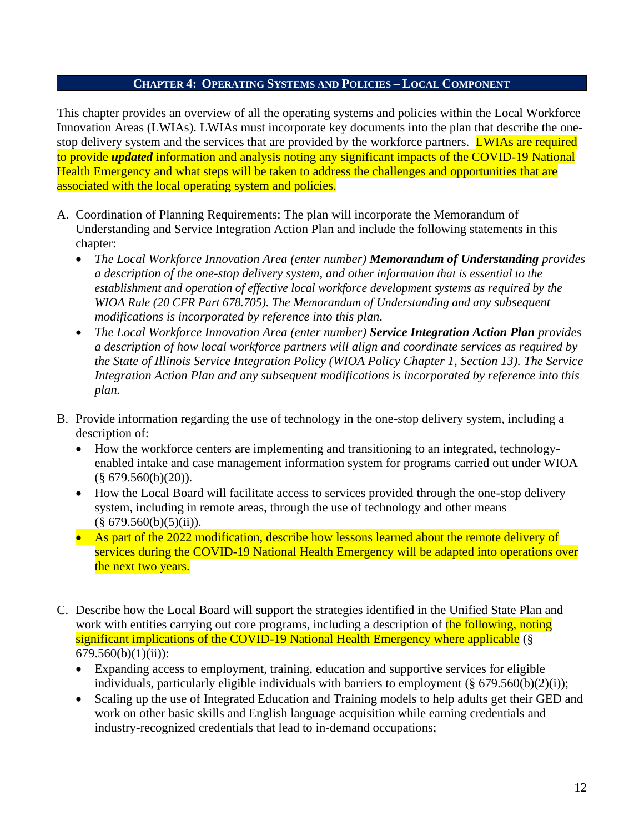#### **CHAPTER 4: OPERATING SYSTEMS AND POLICIES – LOCAL COMPONENT**

This chapter provides an overview of all the operating systems and policies within the Local Workforce Innovation Areas (LWIAs). LWIAs must incorporate key documents into the plan that describe the onestop delivery system and the services that are provided by the workforce partners. LWIAs are required to provide *updated* information and analysis noting any significant impacts of the COVID-19 National Health Emergency and what steps will be taken to address the challenges and opportunities that are associated with the local operating system and policies.

- A. Coordination of Planning Requirements: The plan will incorporate the Memorandum of Understanding and Service Integration Action Plan and include the following statements in this chapter:
	- *The Local Workforce Innovation Area (enter number) Memorandum of Understanding provides a description of the one-stop delivery system, and other information that is essential to the establishment and operation of effective local workforce development systems as required by the WIOA Rule (20 CFR Part 678.705). The Memorandum of Understanding and any subsequent modifications is incorporated by reference into this plan.*
	- *The Local Workforce Innovation Area (enter number) Service Integration Action Plan provides a description of how local workforce partners will align and coordinate services as required by the State of Illinois Service Integration Policy (WIOA Policy Chapter 1, Section 13). The Service Integration Action Plan and any subsequent modifications is incorporated by reference into this plan.*
- B. Provide information regarding the use of technology in the one-stop delivery system, including a description of:
	- How the workforce centers are implementing and transitioning to an integrated, technologyenabled intake and case management information system for programs carried out under WIOA  $(\S$  679.560(b)(20)).
	- How the Local Board will facilitate access to services provided through the one-stop delivery system, including in remote areas, through the use of technology and other means  $(\S 679.560(b)(5)(ii))$ .
	- As part of the 2022 modification, describe how lessons learned about the remote delivery of services during the COVID-19 National Health Emergency will be adapted into operations over the next two years.
- C. Describe how the Local Board will support the strategies identified in the Unified State Plan and work with entities carrying out core programs, including a description of the following, noting significant implications of the COVID-19 National Health Emergency where applicable (§ 679.560(b)(1)(ii)):
	- Expanding access to employment, training, education and supportive services for eligible individuals, particularly eligible individuals with barriers to employment  $(\S 679.560(b)(2)(i))$ ;
	- Scaling up the use of Integrated Education and Training models to help adults get their GED and work on other basic skills and English language acquisition while earning credentials and industry-recognized credentials that lead to in-demand occupations;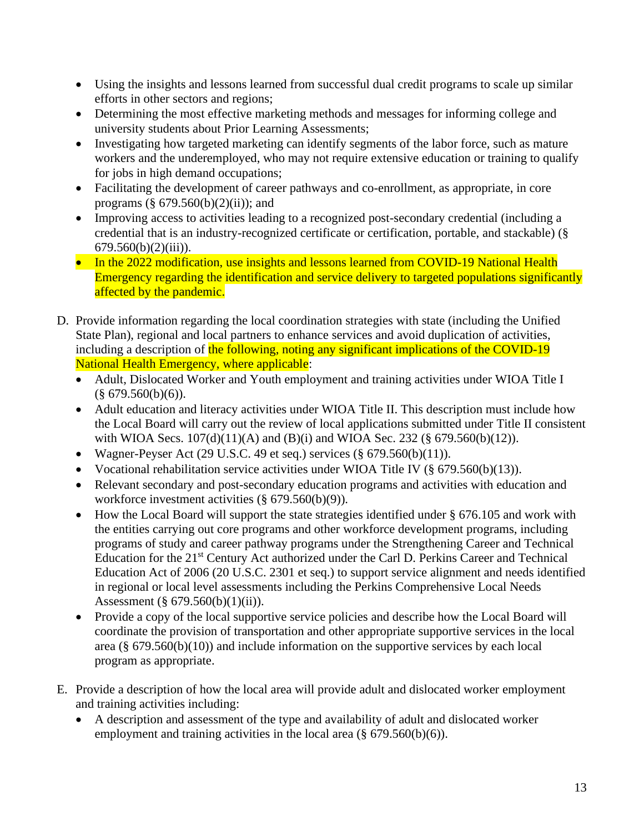- Using the insights and lessons learned from successful dual credit programs to scale up similar efforts in other sectors and regions;
- Determining the most effective marketing methods and messages for informing college and university students about Prior Learning Assessments;
- Investigating how targeted marketing can identify segments of the labor force, such as mature workers and the underemployed, who may not require extensive education or training to qualify for jobs in high demand occupations;
- Facilitating the development of career pathways and co-enrollment, as appropriate, in core programs  $(\S 679.560(b)(2)(ii))$ ; and
- Improving access to activities leading to a recognized post-secondary credential (including a credential that is an industry-recognized certificate or certification, portable, and stackable) (§  $679.560(b)(2)(iii)$ ).
- In the 2022 modification, use insights and lessons learned from COVID-19 National Health Emergency regarding the identification and service delivery to targeted populations significantly affected by the pandemic.
- D. Provide information regarding the local coordination strategies with state (including the Unified State Plan), regional and local partners to enhance services and avoid duplication of activities, including a description of the following, noting any significant implications of the COVID-19 National Health Emergency, where applicable:
	- Adult, Dislocated Worker and Youth employment and training activities under WIOA Title I  $(\$ 679.560(b)(6)).$
	- Adult education and literacy activities under WIOA Title II. This description must include how the Local Board will carry out the review of local applications submitted under Title II consistent with WIOA Secs.  $107(d)(11)(A)$  and (B)(i) and WIOA Sec. 232 (§ 679.560(b)(12)).
	- Wagner-Peyser Act (29 U.S.C. 49 et seq.) services  $(\S 679.560(b)(11))$ .
	- Vocational rehabilitation service activities under WIOA Title IV (§ 679.560(b)(13)).
	- Relevant secondary and post-secondary education programs and activities with education and workforce investment activities (§ 679.560(b)(9)).
	- How the Local Board will support the state strategies identified under § 676.105 and work with the entities carrying out core programs and other workforce development programs, including programs of study and career pathway programs under the Strengthening Career and Technical Education for the 21<sup>st</sup> Century Act authorized under the Carl D. Perkins Career and Technical Education Act of 2006 (20 U.S.C. 2301 et seq.) to support service alignment and needs identified in regional or local level assessments including the Perkins Comprehensive Local Needs Assessment (§ 679.560(b)(1)(ii)).
	- Provide a copy of the local supportive service policies and describe how the Local Board will coordinate the provision of transportation and other appropriate supportive services in the local area (§ 679.560(b)(10)) and include information on the supportive services by each local program as appropriate.
- E. Provide a description of how the local area will provide adult and dislocated worker employment and training activities including:
	- A description and assessment of the type and availability of adult and dislocated worker employment and training activities in the local area  $(\S 679.560(b)(6))$ .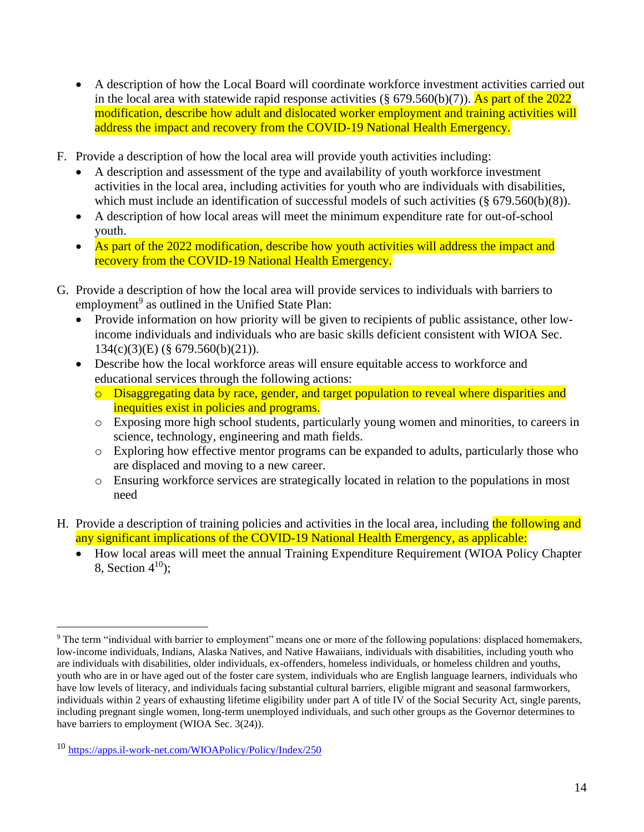- A description of how the Local Board will coordinate workforce investment activities carried out in the local area with statewide rapid response activities ( $\S$  679.560(b)(7)). As part of the 2022 modification, describe how adult and dislocated worker employment and training activities will address the impact and recovery from the COVID-19 National Health Emergency.
- F. Provide a description of how the local area will provide youth activities including:
	- A description and assessment of the type and availability of youth workforce investment activities in the local area, including activities for youth who are individuals with disabilities, which must include an identification of successful models of such activities (§ 679.560(b)(8)).
	- A description of how local areas will meet the minimum expenditure rate for out-of-school youth.
	- As part of the 2022 modification, describe how youth activities will address the impact and recovery from the COVID-19 National Health Emergency.
- G. Provide a description of how the local area will provide services to individuals with barriers to employment<sup>9</sup> as outlined in the Unified State Plan:
	- Provide information on how priority will be given to recipients of public assistance, other lowincome individuals and individuals who are basic skills deficient consistent with WIOA Sec. 134(c)(3)(E) (§ 679.560(b)(21)).
	- Describe how the local workforce areas will ensure equitable access to workforce and educational services through the following actions:
		- o Disaggregating data by race, gender, and target population to reveal where disparities and inequities exist in policies and programs.
		- o Exposing more high school students, particularly young women and minorities, to careers in science, technology, engineering and math fields.
		- o Exploring how effective mentor programs can be expanded to adults, particularly those who are displaced and moving to a new career.
		- o Ensuring workforce services are strategically located in relation to the populations in most need
- H. Provide a description of training policies and activities in the local area, including the following and any significant implications of the COVID-19 National Health Emergency, as applicable:
	- How local areas will meet the annual Training Expenditure Requirement (WIOA Policy Chapter 8. Section  $4^{10}$ :

<sup>9</sup> The term "individual with barrier to employment" means one or more of the following populations: displaced homemakers, low-income individuals, Indians, Alaska Natives, and Native Hawaiians, individuals with disabilities, including youth who are individuals with disabilities, older individuals, ex-offenders, homeless individuals, or homeless children and youths, youth who are in or have aged out of the foster care system, individuals who are English language learners, individuals who have low levels of literacy, and individuals facing substantial cultural barriers, eligible migrant and seasonal farmworkers, individuals within 2 years of exhausting lifetime eligibility under part A of title IV of the Social Security Act, single parents, including pregnant single women, long-term unemployed individuals, and such other groups as the Governor determines to have barriers to employment (WIOA Sec. 3(24)).

<sup>10</sup> <https://apps.il-work-net.com/WIOAPolicy/Policy/Index/250>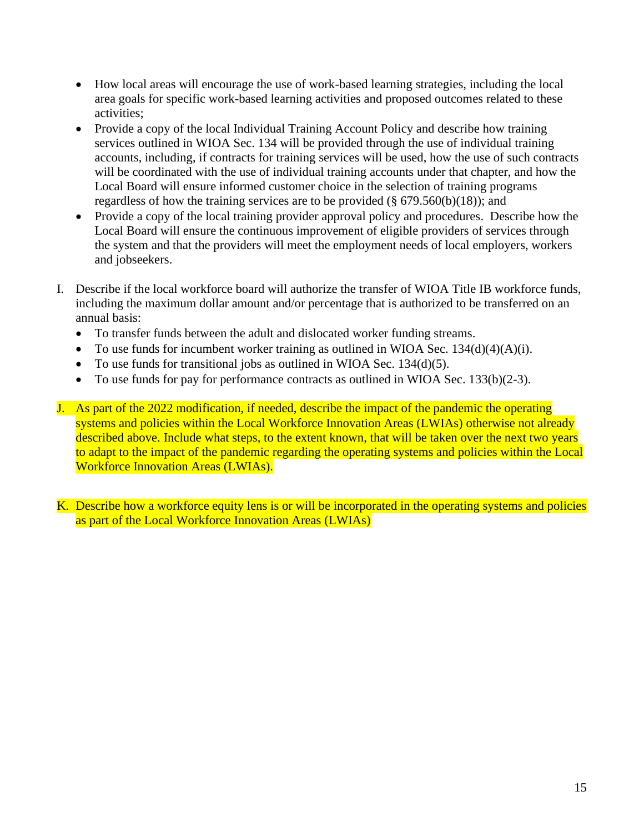- How local areas will encourage the use of work-based learning strategies, including the local area goals for specific work-based learning activities and proposed outcomes related to these activities;
- Provide a copy of the local Individual Training Account Policy and describe how training services outlined in WIOA Sec. 134 will be provided through the use of individual training accounts, including, if contracts for training services will be used, how the use of such contracts will be coordinated with the use of individual training accounts under that chapter, and how the Local Board will ensure informed customer choice in the selection of training programs regardless of how the training services are to be provided  $(\S 679.560(b)(18))$ ; and
- Provide a copy of the local training provider approval policy and procedures. Describe how the Local Board will ensure the continuous improvement of eligible providers of services through the system and that the providers will meet the employment needs of local employers, workers and jobseekers.
- I. Describe if the local workforce board will authorize the transfer of WIOA Title IB workforce funds, including the maximum dollar amount and/or percentage that is authorized to be transferred on an annual basis:
	- To transfer funds between the adult and dislocated worker funding streams.
	- To use funds for incumbent worker training as outlined in WIOA Sec.  $134(d)(4)(A)(i)$ .
	- To use funds for transitional jobs as outlined in WIOA Sec.  $134(d)(5)$ .
	- To use funds for pay for performance contracts as outlined in WIOA Sec.  $133(b)(2-3)$ .
- J. As part of the 2022 modification, if needed, describe the impact of the pandemic the operating systems and policies within the Local Workforce Innovation Areas (LWIAs) otherwise not already described above. Include what steps, to the extent known, that will be taken over the next two years to adapt to the impact of the pandemic regarding the operating systems and policies within the Local Workforce Innovation Areas (LWIAs).

K. Describe how a workforce equity lens is or will be incorporated in the operating systems and policies as part of the Local Workforce Innovation Areas (LWIAs)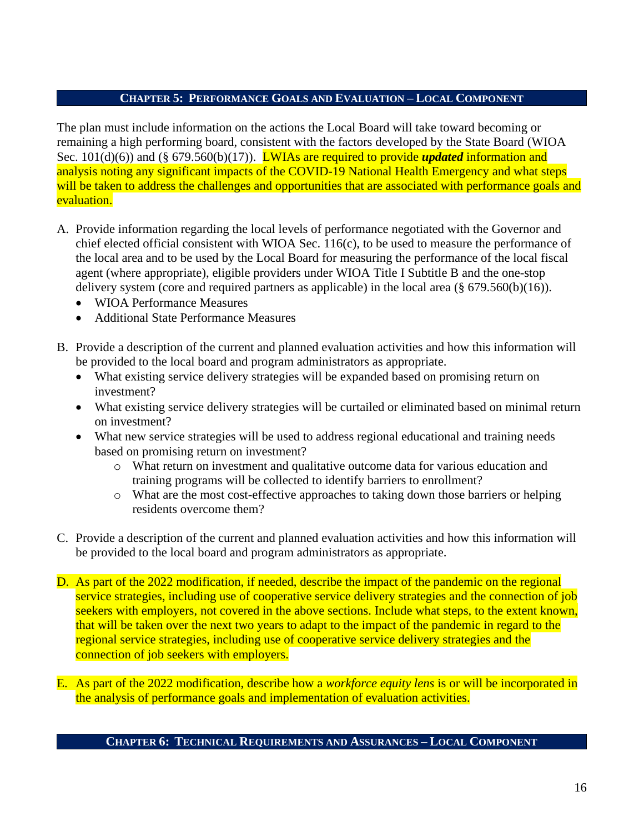## **CHAPTER 5: PERFORMANCE GOALS AND EVALUATION – LOCAL COMPONENT**

The plan must include information on the actions the Local Board will take toward becoming or remaining a high performing board, consistent with the factors developed by the State Board (WIOA Sec. 101(d)(6)) and (§ 679.560(b)(17)). **LWIAs are required to provide** *updated* information and analysis noting any significant impacts of the COVID-19 National Health Emergency and what steps will be taken to address the challenges and opportunities that are associated with performance goals and evaluation.

- A. Provide information regarding the local levels of performance negotiated with the Governor and chief elected official consistent with WIOA Sec. 116(c), to be used to measure the performance of the local area and to be used by the Local Board for measuring the performance of the local fiscal agent (where appropriate), eligible providers under WIOA Title I Subtitle B and the one-stop delivery system (core and required partners as applicable) in the local area (§ 679.560(b)(16)).
	- WIOA Performance Measures
	- Additional State Performance Measures
- B. Provide a description of the current and planned evaluation activities and how this information will be provided to the local board and program administrators as appropriate.
	- What existing service delivery strategies will be expanded based on promising return on investment?
	- What existing service delivery strategies will be curtailed or eliminated based on minimal return on investment?
	- What new service strategies will be used to address regional educational and training needs based on promising return on investment?
		- o What return on investment and qualitative outcome data for various education and training programs will be collected to identify barriers to enrollment?
		- o What are the most cost-effective approaches to taking down those barriers or helping residents overcome them?
- C. Provide a description of the current and planned evaluation activities and how this information will be provided to the local board and program administrators as appropriate.
- D. As part of the 2022 modification, if needed, describe the impact of the pandemic on the regional service strategies, including use of cooperative service delivery strategies and the connection of job seekers with employers, not covered in the above sections. Include what steps, to the extent known, that will be taken over the next two years to adapt to the impact of the pandemic in regard to the regional service strategies, including use of cooperative service delivery strategies and the connection of job seekers with employers.
- E. As part of the 2022 modification, describe how a *workforce equity lens* is or will be incorporated in the analysis of performance goals and implementation of evaluation activities.

### **CHAPTER 6: TECHNICAL REQUIREMENTS AND ASSURANCES – LOCAL COMPONENT**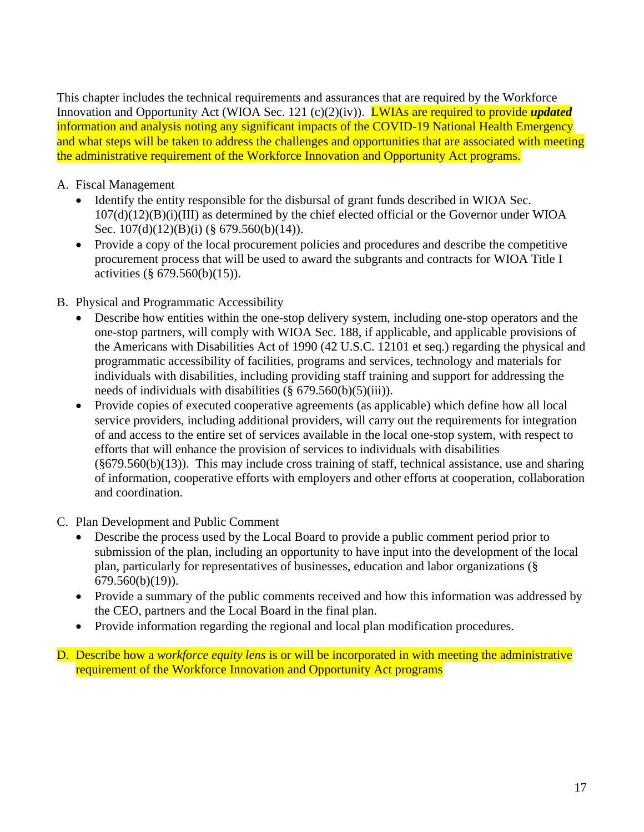This chapter includes the technical requirements and assurances that are required by the Workforce Innovation and Opportunity Act (WIOA Sec. 121 (c)(2)(iv)). LWIAs are required to provide *updated*  information and analysis noting any significant impacts of the COVID-19 National Health Emergency and what steps will be taken to address the challenges and opportunities that are associated with meeting the administrative requirement of the Workforce Innovation and Opportunity Act programs.

## A. Fiscal Management

- Identify the entity responsible for the disbursal of grant funds described in WIOA Sec. 107(d)(12)(B)(i)(III) as determined by the chief elected official or the Governor under WIOA Sec. 107(d)(12)(B)(i) (§ 679.560(b)(14)).
- Provide a copy of the local procurement policies and procedures and describe the competitive procurement process that will be used to award the subgrants and contracts for WIOA Title I activities (§ 679.560(b)(15)).
- B. Physical and Programmatic Accessibility
	- Describe how entities within the one-stop delivery system, including one-stop operators and the one-stop partners, will comply with WIOA Sec. 188, if applicable, and applicable provisions of the Americans with Disabilities Act of 1990 (42 U.S.C. 12101 et seq.) regarding the physical and programmatic accessibility of facilities, programs and services, technology and materials for individuals with disabilities, including providing staff training and support for addressing the needs of individuals with disabilities  $(\S 679.560(b)(5)(iii))$ .
	- Provide copies of executed cooperative agreements (as applicable) which define how all local service providers, including additional providers, will carry out the requirements for integration of and access to the entire set of services available in the local one-stop system, with respect to efforts that will enhance the provision of services to individuals with disabilities  $(\frac{6}{9}679.560(b)(13))$ . This may include cross training of staff, technical assistance, use and sharing of information, cooperative efforts with employers and other efforts at cooperation, collaboration and coordination.
- C. Plan Development and Public Comment
	- Describe the process used by the Local Board to provide a public comment period prior to submission of the plan, including an opportunity to have input into the development of the local plan, particularly for representatives of businesses, education and labor organizations (§ 679.560(b)(19)).
	- Provide a summary of the public comments received and how this information was addressed by the CEO, partners and the Local Board in the final plan.
	- Provide information regarding the regional and local plan modification procedures.
- D. Describe how a *workforce equity lens* is or will be incorporated in with meeting the administrative requirement of the Workforce Innovation and Opportunity Act programs